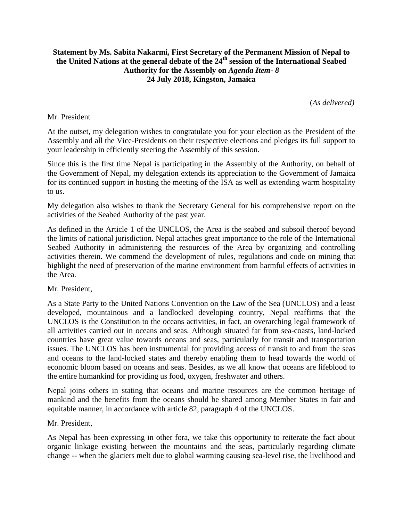## **Statement by Ms. Sabita Nakarmi, First Secretary of the Permanent Mission of Nepal to the United Nations at the general debate of the 24th session of the International Seabed Authority for the Assembly on** *Agenda Item- 8* **24 July 2018, Kingston, Jamaica**

(*As delivered)*

## Mr. President

At the outset, my delegation wishes to congratulate you for your election as the President of the Assembly and all the Vice-Presidents on their respective elections and pledges its full support to your leadership in efficiently steering the Assembly of this session.

Since this is the first time Nepal is participating in the Assembly of the Authority, on behalf of the Government of Nepal, my delegation extends its appreciation to the Government of Jamaica for its continued support in hosting the meeting of the ISA as well as extending warm hospitality to us.

My delegation also wishes to thank the Secretary General for his comprehensive report on the activities of the Seabed Authority of the past year.

As defined in the Article 1 of the UNCLOS, the Area is the seabed and subsoil thereof beyond the limits of national jurisdiction. Nepal attaches great importance to the role of the International Seabed Authority in administering the resources of the Area by organizing and controlling activities therein. We commend the development of rules, regulations and code on mining that highlight the need of preservation of the marine environment from harmful effects of activities in the Area.

Mr. President,

As a State Party to the United Nations Convention on the Law of the Sea (UNCLOS) and a least developed, mountainous and a landlocked developing country, Nepal reaffirms that the UNCLOS is the Constitution to the oceans activities, in fact, an overarching legal framework of all activities carried out in oceans and seas. Although situated far from sea-coasts, land-locked countries have great value towards oceans and seas, particularly for transit and transportation issues. The UNCLOS has been instrumental for providing access of transit to and from the seas and oceans to the land-locked states and thereby enabling them to head towards the world of economic bloom based on oceans and seas. Besides, as we all know that oceans are lifeblood to the entire humankind for providing us food, oxygen, freshwater and others.

Nepal joins others in stating that oceans and marine resources are the common heritage of mankind and the benefits from the oceans should be shared among Member States in fair and equitable manner, in accordance with article 82, paragraph 4 of the UNCLOS.

## Mr. President,

As Nepal has been expressing in other fora, we take this opportunity to reiterate the fact about organic linkage existing between the mountains and the seas, particularly regarding climate change -- when the glaciers melt due to global warming causing sea-level rise, the livelihood and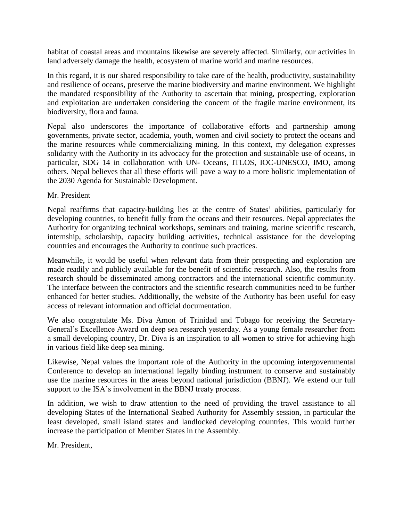habitat of coastal areas and mountains likewise are severely affected. Similarly, our activities in land adversely damage the health, ecosystem of marine world and marine resources.

In this regard, it is our shared responsibility to take care of the health, productivity, sustainability and resilience of oceans, preserve the marine biodiversity and marine environment. We highlight the mandated responsibility of the Authority to ascertain that mining, prospecting, exploration and exploitation are undertaken considering the concern of the fragile marine environment, its biodiversity, flora and fauna.

Nepal also underscores the importance of collaborative efforts and partnership among governments, private sector, academia, youth, women and civil society to protect the oceans and the marine resources while commercializing mining. In this context, my delegation expresses solidarity with the Authority in its advocacy for the protection and sustainable use of oceans, in particular, SDG 14 in collaboration with UN- Oceans, ITLOS, IOC-UNESCO, IMO, among others. Nepal believes that all these efforts will pave a way to a more holistic implementation of the 2030 Agenda for Sustainable Development.

## Mr. President

Nepal reaffirms that capacity-building lies at the centre of States' abilities, particularly for developing countries, to benefit fully from the oceans and their resources. Nepal appreciates the Authority for organizing technical workshops, seminars and training, marine scientific research, internship, scholarship, capacity building activities, technical assistance for the developing countries and encourages the Authority to continue such practices.

Meanwhile, it would be useful when relevant data from their prospecting and exploration are made readily and publicly available for the benefit of scientific research. Also, the results from research should be disseminated among contractors and the international scientific community. The interface between the contractors and the scientific research communities need to be further enhanced for better studies. Additionally, the website of the Authority has been useful for easy access of relevant information and official documentation.

We also congratulate Ms. Diva Amon of Trinidad and Tobago for receiving the Secretary-General's Excellence Award on deep sea research yesterday. As a young female researcher from a small developing country, Dr. Diva is an inspiration to all women to strive for achieving high in various field like deep sea mining.

Likewise, Nepal values the important role of the Authority in the upcoming intergovernmental Conference to develop an international legally binding instrument to conserve and sustainably use the marine resources in the areas beyond national jurisdiction (BBNJ). We extend our full support to the ISA's involvement in the BBNJ treaty process.

In addition, we wish to draw attention to the need of providing the travel assistance to all developing States of the International Seabed Authority for Assembly session, in particular the least developed, small island states and landlocked developing countries. This would further increase the participation of Member States in the Assembly.

Mr. President,